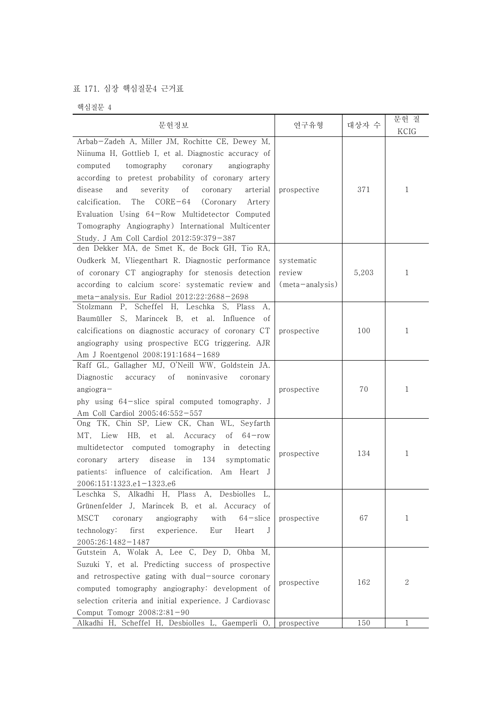## 표 171. 심장 핵심질문4 근거표

핵심질문 4

| 문헌정보                                                                                                                                                                                                                                                                                                                                                                                                                                                                                       | 연구유형                      | 대상자 수 | 문헌 질<br>KCIG |  |
|--------------------------------------------------------------------------------------------------------------------------------------------------------------------------------------------------------------------------------------------------------------------------------------------------------------------------------------------------------------------------------------------------------------------------------------------------------------------------------------------|---------------------------|-------|--------------|--|
| Arbab-Zadeh A, Miller JM, Rochitte CE, Dewey M,<br>Niinuma H, Gottlieb I, et al. Diagnostic accuracy of                                                                                                                                                                                                                                                                                                                                                                                    |                           |       |              |  |
| tomography<br>coronary<br>angiography<br>computed<br>according to pretest probability of coronary artery<br>disease<br>and<br>severity<br>οf<br>coronary<br>arterial<br>$CORE-64$<br>calcification.<br>The<br>(Coronary<br>Artery<br>Evaluation Using 64-Row Multidetector Computed<br>Tomography Angiography) International Multicenter<br>Study. J Am Coll Cardiol 2012;59:379-387<br>den Dekker MA, de Smet K, de Bock GH, Tio RA,<br>Oudkerk M, Vliegenthart R. Diagnostic performance | prospective<br>systematic | 371   | 1            |  |
| of coronary CT angiography for stenosis detection<br>according to calcium score: systematic review and<br>meta-analysis. Eur Radiol 2012;22:2688-2698                                                                                                                                                                                                                                                                                                                                      | review<br>(meta-analysis) | 5,203 | 1            |  |
| Stolzmann P, Scheffel H, Leschka S, Plass<br>А,<br>Baumüller S, Marincek B, et al. Influence<br>οt<br>calcifications on diagnostic accuracy of coronary CT<br>angiography using prospective ECG triggering. AJR<br>Am J Roentgenol 2008;191:1684-1689                                                                                                                                                                                                                                      | prospective               | 100   | 1            |  |
| Raff GL, Gallagher MJ, O'Neill WW, Goldstein JA.<br>Diagnostic<br>of<br>noninvasive<br>accuracy<br>coronary<br>$angiogra-$<br>phy using 64-slice spiral computed tomography. J<br>Am Coll Cardiol 2005;46:552-557                                                                                                                                                                                                                                                                          | prospective               | 70    | 1            |  |
| TK, Chin SP, Liew CK, Chan WL, Seyfarth<br>Ong<br>MT, Liew HB, et al. Accuracy<br>οf<br>$64 - row$<br>multidetector computed tomography<br>detecting<br>in<br>134<br>disease<br>in<br>artery<br>symptomatic<br>coronary<br>patients: influence of calcification. Am Heart J<br>2006;151:1323.e1-1323.e6                                                                                                                                                                                    | prospective               | 134   | 1            |  |
| Leschka S, Alkadhi H, Plass A, Desbiolles L,<br>Grünenfelder J, Marincek B, et al. Accuracy of<br>MSCT<br>angiography<br>with<br>$64$ – slice<br>coronary<br>technology:<br>first<br>experience.<br>Eur<br>Heart<br>J<br>2005;26:1482-1487                                                                                                                                                                                                                                                 | prospective               | 67    | 1            |  |
| Gutstein A, Wolak A, Lee C, Dey D, Ohba M,<br>Suzuki Y, et al. Predicting success of prospective<br>and retrospective gating with dual-source coronary<br>computed tomography angiography: development of<br>selection criteria and initial experience. J Cardiovasc<br>Comput Tomogr 2008;2:81-90                                                                                                                                                                                         | prospective               | 162   | 2            |  |
| Alkadhi H, Scheffel H, Desbiolles L, Gaemperli O, prospective                                                                                                                                                                                                                                                                                                                                                                                                                              |                           | 150   | $\mathbf{1}$ |  |